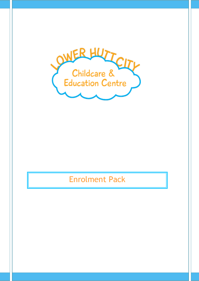

# Enrolment Pack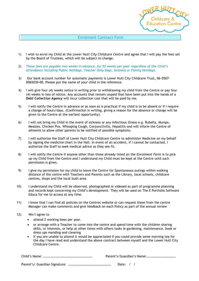#### Enrolment Contract Form

- 1) I wish to enrol my Child at the *Lower Hutt City Childcare Centre* and agree that I will pay the fees set by the Board of Trustees, which will be subject to change.
- 2) *These fees are payable two weeks in advance, for 52 weeks per year regardless of the Child's attendance including Public Holidays, Teacher Only Days, Sickness or Family Holidays.*
- 3) Our bank account number for automatic payments is Lower Hutt City Childcare Trust, 06-0507- 0065030-00. Please put the name of your child in the reference.
- 4) I will give four (4) weeks notice in writing prior to withdrawing my child from the Centre or pay four (4) weeks in lieu of notice. Any accounts that remain unpaid that have been put into the hands of a *Debt Collection Agency* will incur collection cost that will be paid by me.
- 5) I will notify the Centre in advance or as soon as is practical if my child is to be absent or if I require a change of hours/days. (Confirmation in writing, giving a reason for the absence or change will be given to the Centre at the earliest opportunity).
- 6) I will not bring my Child in the event of sickness or any infectious illness e.g. Rubella, Mumps, Measles, Chicken Pox, Whooping Cough, Conjunctivitis, Hepatitis and will inform the Centre of ailments to allow other parents to be notified of possible symptoms.
- 7) I will authorize the Staff of Lower Hutt City Childcare Centre to administer Medicine on my behalf by signing the medicine chart in the Hall. In event of an accident, if I cannot be contacted, I authorize the Staff to seek medical advice as they see fit.
- 8) I will notify the Centre if anyone other than those already listed on the *Enrolment Form* is to pick up my Child from the Centre and I understand my Child must be kept at the Centre until such permission is given.
- 9) I give my permission for my child to leave the Centre for Spontaneous outings within walking distance of the centre with Teachers and Parents such as the Library, local schools, childcare centres, shops and the local bush area.
- 10) I understand my Child will be observed, photographed or videoed as part of programme planning and records kept concerning my Child's development. They will be used on The E Portfolio Software Educa for me to access at any time.
- 11) I know that I can find all policies on the Centres website or can request these from the centre Manager can make comments and give feedback on each Policy as part of the annual review
- 12) We/I agree to
	- attend 2 working bees per year.
	- or arrange with a Teacher to come into the centre and spend time with the children sharing skills, or interests, or help at other times with others tasks ie gardening, maintenance, book or dress ups mending and cleaning
	- If you are unable to attend it would be appreciated if you could provide some morning tea for the day I have read and understand the above contract between myself and the Lower Hutt City Childcare Centre.

| Date: $/$ / |
|-------------|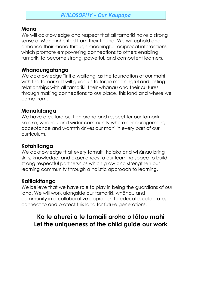# *PHILOSOPHY – Our Kaupapa*

## **Mana**

We will acknowledge and respect that all tamariki have a strong sense of Mana inherited from their tīpuna. We will uphold and enhance their mana through meaningful reciprocal interactions which promote empowering connections to others enabling tamariki to become strong, powerful, and competent learners.

# **Whanaungatanga**

We acknowledge Tiriti o waitangi as the foundation of our mahi with the tamariki. It will guide us to forge meaningful and lasting relationships with all tamariki, their whānau and their cultures through making connections to our place, this land and where we come from.

# **Mānakitanga**

We have a culture built on aroha and respect for our tamariki, Kaiako, whanau and wider community where encouragement, acceptance and warmth drives our mahi in every part of our curriculum.

# **Kotahitanga**

We acknowledge that every tamaiti, kaiako and whānau bring skills, knowledge, and experiences to our learning space to build strong respectful partnerships which grow and strengthen our learning community through a holistic approach to learning.

# **Kaitiakitanga**

We believe that we have role to play in being the guardians of our land. We will work alongside our tamariki, whānau and community in a collaborative approach to educate, celebrate, connect to and protect this land for future generations.

# **Ko te ahurei o te tamaiti aroha o tātou mahi Let the uniqueness of the child guide our work**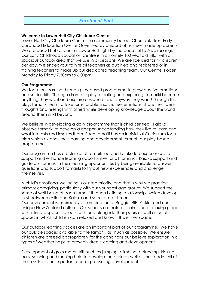## *Enrolment Pack*

#### **Welcome to Lower Hutt City Childcare Centre**

Lower Hutt City Childcare Centre is a community based, Charitable Trust Early Childhood Education Centre Governed by a Board of Trustees made up parents. We are based hub of central Lower Hutt right by the beautiful Te Awakairangi. Our Early Childhood Education Centre is in a homely 100 year old villa, with a spacious outdoor area that we use in all seasons. We are licensed for 47 children per day. We endeavour to hire all teachers as qualified and registered or in training teachers to make up our dedicated teaching team. Our Centre is open Monday to Friday 7.30am to 6.00pm.

#### **Our Programme**

We focus on learning through play-based programme to grow positive emotional and social skills. Through dramatic play, creating and exploring, tamariki become anything they want and explore anywhere and anyway they want! Through this play, tamariki learn to take turns, problem solve, feel emotions, share their ideas, thoughts and feelings with others while developing knowledge about the world around them and beyond.

We believe in developing a daily programme that is child centred. Kaiako observe tamariki to develop a deeper understanding how they like to learn and what interests and inspires them. Each tamaiti has an Individual Curriculum focus plan which extends their learning and development through our play-based programme.

Our programme has a balance of tamaiti-led and kaiako-led experiences to support and enhance learning opportunities for all tamariki. Kaiako support and guide our tamariki in their learning opportunities by being available to answer questions and support tamariki to try out new experiences and challenge themselves.

A child's emotional wellbeing is our top priority, and that is why we practice primary caregiving, particularly with our youngest age groups. We support the sense of well-being of each tamaiti through building relationships which develop trust between child and Kaiako and secure attachments. Our environment is inspired by a combination of Reggio, RIE, Pickler and our unique New Zealand culture. Our spaces are natural, calm and a relaxing place with intimate spaces to learn with and alongside their peers as well as quiet spaces in which children can relaxed and know it this is their space.

Our outdoor learning spaces are an important part of our programme. We have our outside spaces available to the tamariki as much as possible. We ensure children are dressed appropriately for the conditions but believe exploration in all types of weather helps to grow children's learning and development.

Development of gross motor skills such as jumping, climbing, balancing, kicking balls, spinning and running help to develop the brain as well as their body. All of these skills are an important part of pre-writing development.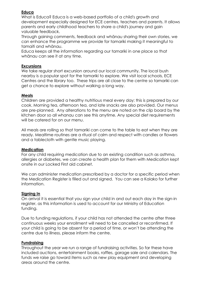## **Educa**

What is Educa? Educa is a web-based portfolio of a child's growth and development especially designed for ECE centres, teachers and parents. It allows parents and early childhood teachers to share a child's journey and gain valuable feedback.

Through gaining comments, feedback and whānau sharing their own stories, we can enhance the programme we provide for tamariki making it meaningful to tamaiti and whānau.

Educa keeps all the information regarding our tamariki in one place so that whānau can see it at any time.

### **Excursions**

We take regular short excursion around our local community, The local bush nearby is a popular spot for the tamariki to explore. We visit local schools, ECE Centres and the library too. These trips are all close to the centre so tamariki can get a chance to explore without walking a long way.

## **Meals**

Children are provided a healthy nutritious meal every day; this is prepared by our cook. Morning tea, afternoon tea, and late snacks are also provided. Our menus are pre-planned. Any alterations to the menu are noted on the clip board by the kitchen door so all whanau can see this anytime. Any special diet requirements will be catered for on our menu.

All meals are rolling so that tamariki can come to the table to eat when they are ready. Mealtime routines are a ritual of calm and respect with candles or flowers and a tablecloth with gentle music playing.

#### **Medication**

For any child requiring medication due to an existing condition such as asthma, allergies or diabetes, we can create a health plan for them with Medication kept onsite in our Locked First aid cabinet.

We can administer medication prescribed by a doctor for a specific period when the Medication Register is filled out and signed. You can see a Kaiako for further information.

## **Signing In**

On arrival it is essential that you sign your child in and out each day in the sign-in register, as this information is used to account for our Ministry of Education funding.

Due to funding regulations, if your child has not attended the centre after three continuous weeks your enrollment will need to be cancelled or reconfirmed. If your child is going to be absent for a period of time, or won't be attending the centre due to illness, please inform the centre.

#### **Fundraising**

Throughout the year we run a range of fundraising activities. So far these have included auctions, entertainment books, raffles, garage sale and calendars. The funds we raise go toward items such as new play equipment and developing areas around the centre.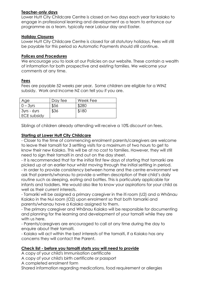## **Teacher-only days**

Lower Hutt City Childcare Centre is closed on two days each year for kaiako to engage in professional learning and development as a team to enhance our programme as a team, typically near Labour day and Easter.

## **Holiday Closures**

Lower Hutt City Childcare Centre is closed for all statutory holidays, Fees will still be payable for this period so Automatic Payments should still continue.

### **Polices and Procedures**

We encourage you to look at our Policies on our website. These contain a wealth of information for both prospective and existing families. We welcome your comments at any time.

## **Fees**

Fees are payable 52 weeks per year. Some children are eligible for a WINZ subsidy. Work and Income NZ can tell you if you are.

| Age                | Day fee | Week Fee |
|--------------------|---------|----------|
| $0 - 3yrs$         | \$56    | \$280    |
| $3yrs - 6yrs$      | \$36    | \$180    |
| <b>ECE subsidy</b> |         |          |

Siblings of children already attending will receive a 10% discount on fees.

## **Starting at Lower Hutt City Childcare**

- Closer to the time of commencing enrolment parents/caregivers are welcome to leave their tamaiti for 3 settling visits for a maximum of two hours to get to know their new Kaiako. This will be at no cost to families. However, they will still need to sign their tamaiti in and out on the day sheet.

- It is recommended that for the initial first few days of starting that tamariki are picked up at an earlier hour whilst moving through the initial settling in period.

- In order to provide consistency between home and the centre environment we ask that parents/whanau to provide a written description of their child's daily routine such as sleeping, eating and bottles. This is particularly applicable for infants and toddlers. We would also like to know your aspirations for your child as well as their current interests.

- Tamariki will be assigned a primary caregiver in the iti room (U2) and a Whānau Kaiako in the Nui room (O2) upon enrolment so that both tamariki and parents/whanau have a Kaiako assigned to them.

- The primary caregiver and Whānau Kaiako will be responsible for documenting and planning for the learning and development of your tamaiti while they are with us here.

- Parents/caregivers are encouraged to call at any time during the day to enquire about their tamaiti.

- Kaiako will act within the best interests of the tamaiti, If a Kaiako has any concerns they will contact the Parent.

## **Check list - before you tamaiti starts you will need to provide**

A copy of your child's Immunisation certificate

A copy of your child's birth certificate or passport

A completed enrolment form

Shared information regarding medications, food requirement or allergies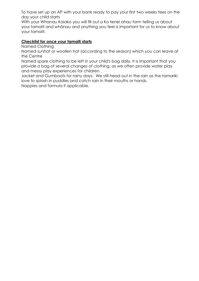To have set up an AP with your bank ready to pay your first two weeks fees on the day your child starts

With your Whanau Kaiako you will fill out a Ko tenei ahau form telling us about your tamaiti and whānau and anything you feel is important for us to know about your tamaiti.

## **Checklist for once your tamaiti starts**

Named Clothing

Named sunhat or woollen hat (according to the season) which you can leave at the Centre

Named spare clothing to be left in your child's bag daily. It is important that you provide a bag of several changes of clothing, as we often provide water play and messy play experiences for children.

Jacket and Gumboots for rainy days. We still head out in the rain as the tamariki love to splash in puddles and catch rain in their mouths or hands.

Nappies and formula if applicable.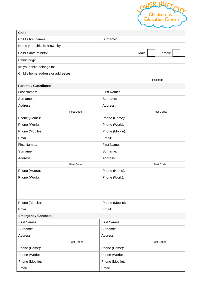

| Child:                             |                     |  |  |  |  |
|------------------------------------|---------------------|--|--|--|--|
| Child's first names:               | Surname:            |  |  |  |  |
| Name your child is known by:       |                     |  |  |  |  |
| Child's date of birth:             | Male<br>Female      |  |  |  |  |
| Ethnic origin:                     |                     |  |  |  |  |
| Iwi your child belongs to:         |                     |  |  |  |  |
| Child's home address or addresses: |                     |  |  |  |  |
|                                    | Postcode            |  |  |  |  |
| <b>Parents / Guardians:</b>        |                     |  |  |  |  |
| <b>First Names:</b>                | <b>First Names:</b> |  |  |  |  |
| Surname:                           | Surname:            |  |  |  |  |
| Address:                           | Address:            |  |  |  |  |
| Post Code:                         | Post Code:          |  |  |  |  |
| Phone (Home):                      | Phone (Home):       |  |  |  |  |
| Phone (Work):                      | Phone (Work):       |  |  |  |  |
| Phone (Mobile):                    | Phone (Mobile):     |  |  |  |  |
| Email:                             | Email:              |  |  |  |  |
| <b>First Names:</b>                | <b>First Names:</b> |  |  |  |  |
| Surname:                           | Surname:            |  |  |  |  |
| Address:                           | Address:            |  |  |  |  |
| Post Code:                         | Post Code:          |  |  |  |  |
| Phone (Home):                      | Phone (Home):       |  |  |  |  |
| Phone (Work):                      | Phone (Work):       |  |  |  |  |
|                                    |                     |  |  |  |  |
|                                    |                     |  |  |  |  |
|                                    |                     |  |  |  |  |
| Phone (Mobile):                    | Phone (Mobile):     |  |  |  |  |
| Email:                             | Email:              |  |  |  |  |
| <b>Emergency Contacts:</b>         |                     |  |  |  |  |
| <b>First Names:</b>                | <b>First Names:</b> |  |  |  |  |
| Surname:                           | Surname:            |  |  |  |  |
| Address:                           | Address:            |  |  |  |  |
| Post Code:                         | Post Code:          |  |  |  |  |
| Phone (Home):                      | Phone (Home):       |  |  |  |  |
| Phone (Work):                      | Phone (Work):       |  |  |  |  |
| Phone (Mobile):                    | Phone (Mobile):     |  |  |  |  |
| Email:                             | Email:              |  |  |  |  |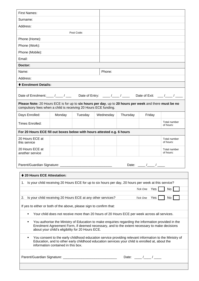| <b>First Names:</b>                                                                                                                                                                                                                                          |                                                             |            |           |          |                                        |                           |
|--------------------------------------------------------------------------------------------------------------------------------------------------------------------------------------------------------------------------------------------------------------|-------------------------------------------------------------|------------|-----------|----------|----------------------------------------|---------------------------|
| Surname:                                                                                                                                                                                                                                                     |                                                             |            |           |          |                                        |                           |
| Address:                                                                                                                                                                                                                                                     |                                                             |            |           |          |                                        |                           |
|                                                                                                                                                                                                                                                              |                                                             | Post Code: |           |          |                                        |                           |
| Phone (Home):                                                                                                                                                                                                                                                |                                                             |            |           |          |                                        |                           |
| Phone (Work):                                                                                                                                                                                                                                                |                                                             |            |           |          |                                        |                           |
| Phone (Mobile):                                                                                                                                                                                                                                              |                                                             |            |           |          |                                        |                           |
| Email:                                                                                                                                                                                                                                                       |                                                             |            |           |          |                                        |                           |
| Doctor:                                                                                                                                                                                                                                                      |                                                             |            |           |          |                                        |                           |
| Name:                                                                                                                                                                                                                                                        |                                                             |            | Phone:    |          |                                        |                           |
| Address:                                                                                                                                                                                                                                                     |                                                             |            |           |          |                                        |                           |
| ♦ Enrolment Details:                                                                                                                                                                                                                                         |                                                             |            |           |          |                                        |                           |
|                                                                                                                                                                                                                                                              |                                                             |            |           |          |                                        |                           |
|                                                                                                                                                                                                                                                              |                                                             |            |           |          |                                        |                           |
| Please Note: 20 Hours ECE is for up to six hours per day, up to 20 hours per week and there must be no<br>compulsory fees when a child is receiving 20 Hours ECE funding.                                                                                    |                                                             |            |           |          |                                        |                           |
| Days Enrolled:                                                                                                                                                                                                                                               | Monday                                                      | Tuesday    | Wednesday | Thursday | Friday                                 |                           |
| <b>Times Enrolled:</b>                                                                                                                                                                                                                                       |                                                             |            |           |          |                                        | Total number<br>of hours: |
| For 20 Hours ECE fill out boxes below with hours attested e.g. 6 hours                                                                                                                                                                                       |                                                             |            |           |          |                                        |                           |
| 20 Hours ECE at<br>this service                                                                                                                                                                                                                              |                                                             |            |           |          |                                        | Total number<br>of hours: |
| 20 Hours ECE at<br>another service                                                                                                                                                                                                                           |                                                             |            |           |          |                                        | Total number<br>of hours: |
|                                                                                                                                                                                                                                                              |                                                             |            |           |          |                                        |                           |
|                                                                                                                                                                                                                                                              |                                                             |            |           |          | Date: $\frac{1}{\sqrt{1-\frac{1}{2}}}$ |                           |
| ♦ 20 Hours ECE Attestation:                                                                                                                                                                                                                                  |                                                             |            |           |          |                                        |                           |
| 1. Is your child receiving 20 Hours ECE for up to six hours per day, 20 hours per week at this service?                                                                                                                                                      |                                                             |            |           |          |                                        |                           |
|                                                                                                                                                                                                                                                              |                                                             |            |           |          | Tick One Yes                           | No                        |
| 2.                                                                                                                                                                                                                                                           | Is your child receiving 20 Hours ECE at any other services? |            |           |          | Tick One Yes                           | No                        |
|                                                                                                                                                                                                                                                              |                                                             |            |           |          |                                        |                           |
| If yes to either or both of the above, please sign to confirm that:                                                                                                                                                                                          |                                                             |            |           |          |                                        |                           |
| Your child does not receive more than 20 hours of 20 Hours ECE per week across all services.<br>٠                                                                                                                                                            |                                                             |            |           |          |                                        |                           |
| You authorise the Ministry of Education to make enquiries regarding the information provided in the<br>٠<br>Enrolment Agreement Form, if deemed necessary, and to the extent necessary to make decisions<br>about your child's eligibility for 20 Hours ECE. |                                                             |            |           |          |                                        |                           |
| You consent to the early childhood education service providing relevant information to the Ministry of<br>٠<br>Education, and to other early childhood education services your child is enrolled at, about the<br>information contained in this box.         |                                                             |            |           |          |                                        |                           |
|                                                                                                                                                                                                                                                              |                                                             |            |           |          | Date: $\frac{1}{\sqrt{1-\frac{1}{2}}}$ |                           |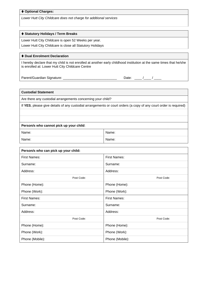#### ⧫ **Optional Charges:**

*Lower Hutt City Childcare does not charge for additional services*

#### ⧫ **Statutory Holidays / Term Breaks**

Lower Hutt City Childcare is open 52 Weeks per year. Lower Hutt City Childcare is close all Statutory Holidays

#### ⧫ **Dual Enrolment Declaration**

I hereby declare that my child is not enrolled at another early childhood institution at the same times that he/she is enrolled at: Lower Hutt City Childcare Centre

Parent/Guardian Signature: \_\_\_\_\_\_\_\_\_\_\_\_\_\_\_\_\_\_\_\_\_\_\_\_\_\_\_\_\_\_\_\_\_\_\_ Date: \_\_\_\_/\_\_\_/ \_

**Custodial Statement** 

Are there any custodial arrangements concerning your child?

If **YES**, please give details of any custodial arrangements or court orders (a copy of any court order is required)

#### **Person/s who cannot pick up your child**:

| Name: | Name: |
|-------|-------|
| Name: | Name: |

| Person/s who can pick up your child: |                     |  |  |  |  |
|--------------------------------------|---------------------|--|--|--|--|
| <b>First Names:</b>                  | <b>First Names:</b> |  |  |  |  |
| Surname:                             | Surname:            |  |  |  |  |
| Address:                             | Address:            |  |  |  |  |
| Post Code:                           | Post Code:          |  |  |  |  |
| Phone (Home):                        | Phone (Home):       |  |  |  |  |
| Phone (Work):                        | Phone (Work):       |  |  |  |  |
| <b>First Names:</b>                  | <b>First Names:</b> |  |  |  |  |
| Surname:                             | Surname:            |  |  |  |  |
| Address:                             | Address:            |  |  |  |  |
| Post Code:                           | Post Code:          |  |  |  |  |
| Phone (Home):                        | Phone (Home):       |  |  |  |  |
| Phone (Work):                        | Phone (Work):       |  |  |  |  |
| Phone (Mobile):                      | Phone (Mobile):     |  |  |  |  |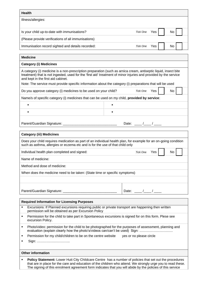| <b>Health</b>                                       |                 |            |     |  |
|-----------------------------------------------------|-----------------|------------|-----|--|
| Illness/allergies:                                  |                 |            |     |  |
|                                                     |                 |            |     |  |
| Is your child up-to-date with immunisations?        | Tick One        | <b>Yes</b> | No  |  |
| (Please provide verifications of all immunisations) |                 |            |     |  |
| Immunisation record sighted and details recorded:   | <b>Tick One</b> | Yes        | No. |  |
|                                                     |                 |            |     |  |
| <b>Medicine</b>                                     |                 |            |     |  |

#### **Category (i) Medicines**

A category (i) medicine is a non-prescription preparation (such as arnica cream, antiseptic liquid, insect bite treatment) that is not ingested, used for the 'first aid' treatment of minor injuries and provided by the service and kept in the first aid cabinet.

Note: The service must provide specific information about the category (i) preparations that will be used

| Do you approve category (i) medicines to be used on your child?                              |  | Tick One | Yes | No <sub>1</sub> |  |
|----------------------------------------------------------------------------------------------|--|----------|-----|-----------------|--|
| Name/s of specific category (i) medicines that can be used on my child, provided by service: |  |          |     |                 |  |
|                                                                                              |  |          |     |                 |  |
|                                                                                              |  |          |     |                 |  |

Parent/Guardian Signature: \_\_\_\_\_\_\_\_\_\_\_\_\_\_\_\_\_\_\_\_\_\_\_\_\_\_\_\_\_ Date: \_\_\_\_ /\_\_\_\_ / \_\_\_\_

#### **Category (iii) Medicines**

Does your child requires medication as part of an individual health plan, for example for an on-going condition such as asthma, allergies or eczema etc and is for the use of that child only

Individual health plan completed and signed: **The Completed and signed:** The *Tick One* Yes No

Name of medicine:

Method and dose of medicine:

When does the medicine need to be taken: (State time or specific symptoms)

Parent/Guardian Signature: \_\_\_\_\_\_\_\_\_\_\_\_\_\_\_\_\_\_\_\_\_\_\_\_\_\_\_\_\_ Date: \_\_\_\_ /\_\_\_\_ / \_\_\_\_

#### **Required Information for Licensing Purposes**

- Excursions: If Planned excursions requiring public or private transport are happening then written permission will be obtained as per Excursion Policy
- **•** Permission for the child to take part in Spontaneous excursions is signed for on this form. Plese see excursion Policy.
- Photo/video: permission for the child to be photographed for the purposes of assessment, planning and evaluation (explain clearly how the photo's/videos can/can't be used) Sign: …………………………
- Permission for my child/children to be on the centre website ves or no please circle
- Sign: ………………………...

#### **Other information**

Policy Statement: Lower Hutt City Childcare Centre has a number of policies that set out the procedures that are in place for the care and education of the children who attend. We strongly urge you to read these. The signing of this enrolment agreement form indicates that you will abide by the policies of this service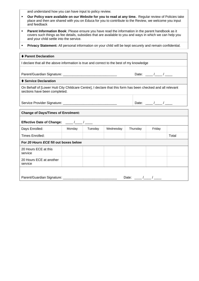and understand how you can have input to policy review.

- **Our Policy ware available on our Website for you to read at any time.** Regular review of Policies take place and then are shared with you on Educa for you to contribute to the Review, we welcome you input and feedback
- **Parent Information Book**: Please ensure you have read the information in the parent handbook as it covers such things as fee details, subsidies that are available to you and ways in which we can help you and your child settle into the service.
- **Privacy Statement:** All personal information on your child will be kept securely and remain confidential.

| ♦ Parent Declaration                                                                                                                         |        |         |           |          |                               |       |  |  |
|----------------------------------------------------------------------------------------------------------------------------------------------|--------|---------|-----------|----------|-------------------------------|-------|--|--|
| I declare that all the above information is true and correct to the best of my knowledge                                                     |        |         |           |          |                               |       |  |  |
|                                                                                                                                              |        |         |           |          |                               |       |  |  |
|                                                                                                                                              |        |         |           |          | Date: $\frac{\frac{1}{2}}{2}$ |       |  |  |
| ♦ Service Declaration                                                                                                                        |        |         |           |          |                               |       |  |  |
| On Behalf of [Lower Hutt City Childcare Centre], I declare that this form has been checked and all relevant<br>sections have been completed. |        |         |           |          |                               |       |  |  |
|                                                                                                                                              |        |         |           |          | Date: $\frac{1}{\sqrt{2\pi}}$ |       |  |  |
| <b>Change of Days/Times of Enrolment:</b>                                                                                                    |        |         |           |          |                               |       |  |  |
| Effective Date of Change: ___/__/___/                                                                                                        |        |         |           |          |                               |       |  |  |
| Days Enrolled:                                                                                                                               | Monday | Tuesday | Wednesday | Thursday | Friday                        |       |  |  |
| <b>Times Enrolled:</b>                                                                                                                       |        |         |           |          |                               | Total |  |  |
| For 20 Hours ECE fill out boxes below                                                                                                        |        |         |           |          |                               |       |  |  |
| 20 Hours ECE at this<br>service                                                                                                              |        |         |           |          |                               |       |  |  |
| 20 Hours ECE at another<br>service                                                                                                           |        |         |           |          |                               |       |  |  |
|                                                                                                                                              |        |         |           |          |                               |       |  |  |
| Date: $\frac{1}{\sqrt{2\pi}}$                                                                                                                |        |         |           |          |                               |       |  |  |